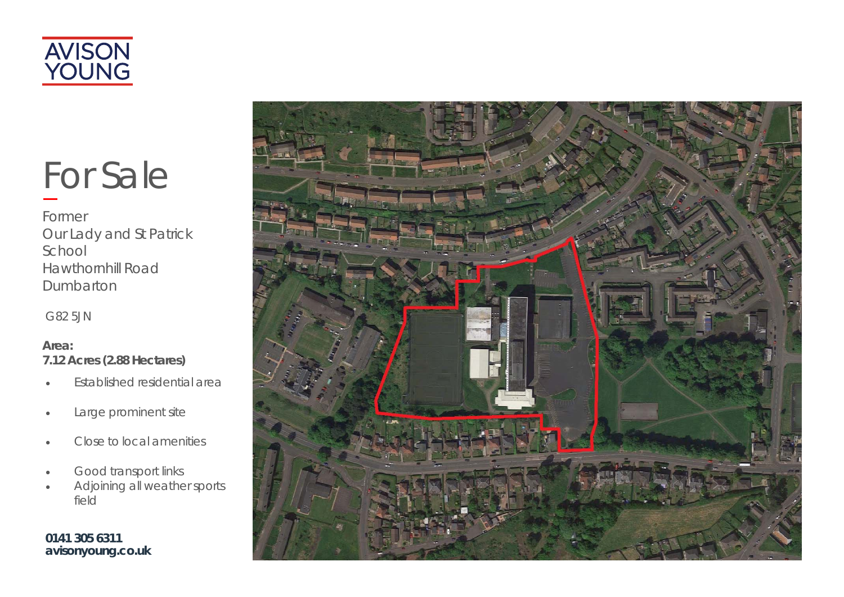

# For Sale

Former Our Lady and St Patrick School Hawthornhill Road **Dumbarton** 

G82 5JN

# **Area: 7.12 Acres (2.88 Hectares)**

- $\bullet$ Established residential area
- $\bullet$ Large prominent site
- $\bullet$ Close to local amenities
- $\bullet$ Good transport links
- $\bullet$  Adjoining all weather sports field

**0141 305 6311 avisonyoung.co.uk** 

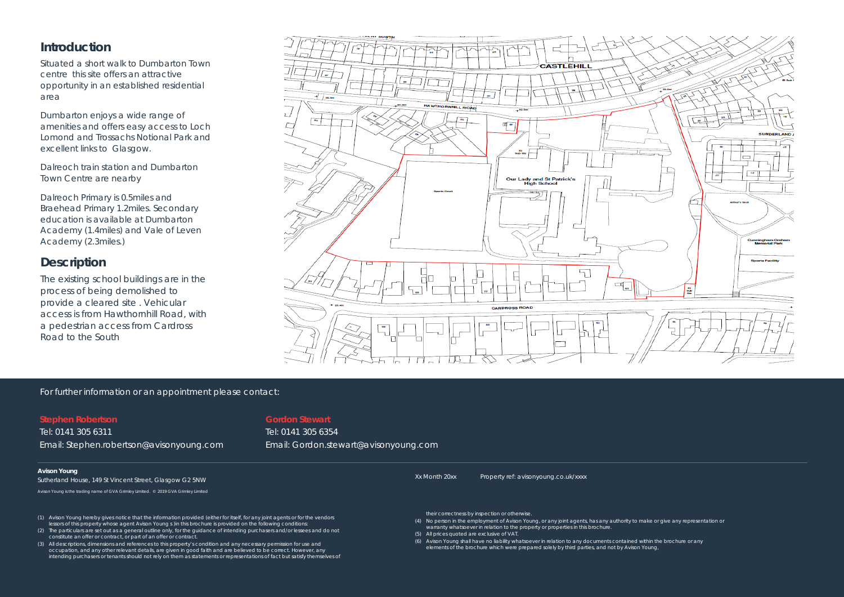# **Introduction**

Situated a short walk to Dumbarton Town centre this site offers an attractive opportunity in an established residential area

Dumbarton enjoys a wide range of amenities and offers easy access to Loch Lomond and Trossachs Notional Park and excellent links to Glasgow.

Dalreoch train station and Dumbarton Town Centre are nearby

Dalreoch Primary is 0.5miles and Braehead Primary 1.2miles. Secondary education is available at Dumbarton Academy (1.4miles) and Vale of Leven Academy (2.3miles.)

# **Description**

The existing school buildings are in the process of being demolished to provide a cleared site . Vehicular access is from Hawthornhill Road, with a pedestrian access from Cardross Road to the South



#### For further information or an appointment please contact:

#### **Stephen Robertson**

Tel: 0141 305 6311 Email: Stephen.robertson@avisonyoung.com

## **Gordon Stewart**

Tel: 0141 305 6354 Email: Gordon.stewart@avisonyoung.com

#### **Avison Young**

Sutherland House, 149 St Vincent Street, Glasgow G2 5NW

Avison Young is the trading name of GVA Grimley Limited. © 2019 GVA Grimley Limited

- (1) Avison Young hereby gives notice that the information provided (either for itself, for any joint agents or for the vendors lessors of this property whose agent Avison Young s )in this brochure is provided on the following conditions:
- (2) The particulars are set out as a general outline only, for the guidance of intending purchasers and/or lessees and do not constitute an offer or contract, or part of an offer or contract.
- (3) All descriptions, dimensions and references to this property's condition and any necessary permission for use and occupation, and any other relevant details, are given in good faith and are believed to be correct. However, any intending purchasers or tenants should not rely on them as statements or representations of fact but satisfy themselves of

Xx Month 20xx Property ref: avisonyoung.co.uk/xxxx

- their correctness by inspection or otherwise.
- (4) No person in the employment of Avison Young, or any joint agents, has any authority to make or give any representation or warranty whatsoever in relation to the property or properties in this brochure.

(5) All prices quoted are exclusive of VAT.

(6) Avison Young shall have no liability whatsoever in relation to any documents contained within the brochure or any elements of the brochure which were prepared solely by third parties, and not by Avison Young,